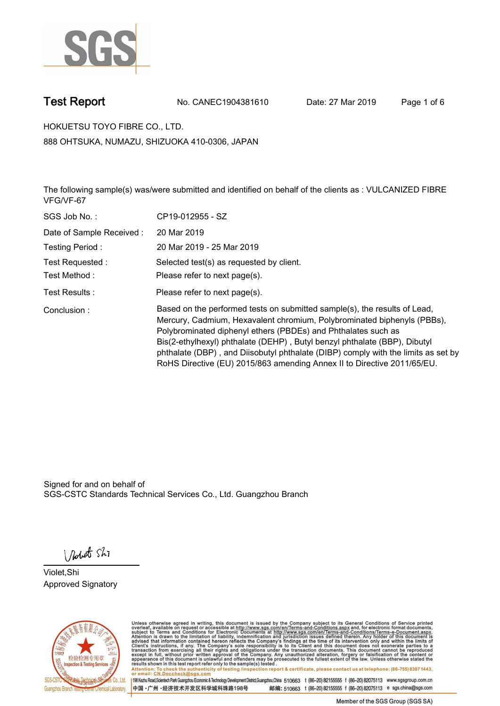

**Test Report. No. CANEC1904381610 Date: 27 Mar 2019. Page 1 of 6.**

**HOKUETSU TOYO FIBRE CO., LTD.. 888 OHTSUKA, NUMAZU, SHIZUOKA 410-0306, JAPAN**

**The following sample(s) was/were submitted and identified on behalf of the clients as : VULCANIZED FIBRE VFG/VF-67.**

| SGS Job No.:              | CP19-012955 - SZ                                                                                                                                                                                                                                                                                                                                                                                                                                                   |
|---------------------------|--------------------------------------------------------------------------------------------------------------------------------------------------------------------------------------------------------------------------------------------------------------------------------------------------------------------------------------------------------------------------------------------------------------------------------------------------------------------|
| Date of Sample Received : | 20 Mar 2019                                                                                                                                                                                                                                                                                                                                                                                                                                                        |
| Testing Period:           | 20 Mar 2019 - 25 Mar 2019                                                                                                                                                                                                                                                                                                                                                                                                                                          |
| Test Requested:           | Selected test(s) as requested by client.                                                                                                                                                                                                                                                                                                                                                                                                                           |
| Test Method:              | Please refer to next page(s).                                                                                                                                                                                                                                                                                                                                                                                                                                      |
| Test Results :            | Please refer to next page(s).                                                                                                                                                                                                                                                                                                                                                                                                                                      |
| Conclusion:               | Based on the performed tests on submitted sample(s), the results of Lead,<br>Mercury, Cadmium, Hexavalent chromium, Polybrominated biphenyls (PBBs),<br>Polybrominated diphenyl ethers (PBDEs) and Phthalates such as<br>Bis(2-ethylhexyl) phthalate (DEHP), Butyl benzyl phthalate (BBP), Dibutyl<br>phthalate (DBP), and Diisobutyl phthalate (DIBP) comply with the limits as set by<br>RoHS Directive (EU) 2015/863 amending Annex II to Directive 2011/65/EU. |

Signed for and on behalf of SGS-CSTC Standards Technical Services Co., Ltd. Guangzhou Branch.

Nobet Shi

**Violet,Shi. Approved Signatory.**



Unless otherwise agreed in writing, this document is issued by the Company subject to its General Conditions of Service printed<br>overleaf, available on request or accessible at http://www.sgs.com/en/Terms-and-Conditions.asp Attention: To check the authenticity of testing /inspection report & certificate, please contact us at telephone: (86-755) 8307 1443,<br>Attention: To check the authenticity of testing /inspection report & certificate, please

198 Kezhu Road,Scientech Park Guangzhou Economic & Technology Development District,Guangzhou,China 510663 t (86-20) 82155555 f (86-20) 82075113 www.sgsgroup.com.cn 邮编: 510663 t (86-20) 82155555 f (86-20) 82075113 e sgs.china@sgs.com 中国·广州·经济技术开发区科学城科珠路198号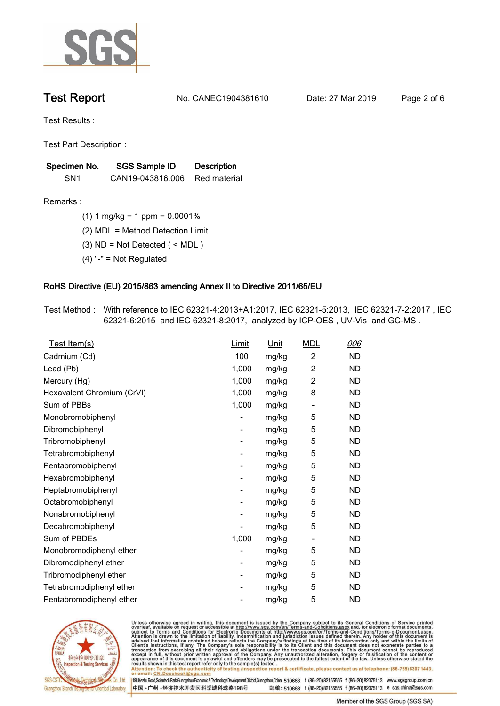

**Test Report. No. CANEC1904381610 Date: 27 Mar 2019. Page 2 of 6.**

**Test Results :.**

**Test Part Description :.**

| Specimen No.    | SGS Sample ID    | <b>Description</b> |
|-----------------|------------------|--------------------|
| SN <sub>1</sub> | CAN19-043816.006 | Red material       |

**Remarks :.(1) 1 mg/kg = 1 ppm = 0.0001%.**

**(2) MDL = Method Detection Limit.**

**(3) ND = Not Detected ( < MDL ).**

**(4) "-" = Not Regulated.**

### **RoHS Directive (EU) 2015/863 amending Annex II to Directive 2011/65/EU.**

**Test Method :. With reference to IEC 62321-4:2013+A1:2017, IEC 62321-5:2013, IEC 62321-7-2:2017 , IEC 62321-6:2015 and IEC 62321-8:2017, analyzed by ICP-OES , UV-Vis and GC-MS ..**

| Test Item(s)               | Limit                    | Unit  | <b>MDL</b>               | 006       |
|----------------------------|--------------------------|-------|--------------------------|-----------|
| Cadmium (Cd)               | 100                      | mg/kg | $\overline{2}$           | <b>ND</b> |
| Lead (Pb)                  | 1,000                    | mg/kg | $\overline{c}$           | <b>ND</b> |
| Mercury (Hg)               | 1,000                    | mg/kg | 2                        | <b>ND</b> |
| Hexavalent Chromium (CrVI) | 1,000                    | mg/kg | 8                        | <b>ND</b> |
| Sum of PBBs                | 1,000                    | mg/kg | $\overline{\phantom{a}}$ | <b>ND</b> |
| Monobromobiphenyl          |                          | mg/kg | 5                        | <b>ND</b> |
| Dibromobiphenyl            | $\overline{\phantom{a}}$ | mg/kg | 5                        | <b>ND</b> |
| Tribromobiphenyl           | -                        | mg/kg | 5                        | <b>ND</b> |
| Tetrabromobiphenyl         |                          | mg/kg | 5                        | <b>ND</b> |
| Pentabromobiphenyl         | -                        | mg/kg | 5                        | <b>ND</b> |
| Hexabromobiphenyl          |                          | mg/kg | 5                        | <b>ND</b> |
| Heptabromobiphenyl         | -                        | mg/kg | 5                        | <b>ND</b> |
| Octabromobiphenyl          | -                        | mg/kg | 5                        | <b>ND</b> |
| Nonabromobiphenyl          |                          | mg/kg | 5                        | <b>ND</b> |
| Decabromobiphenyl          |                          | mg/kg | 5                        | <b>ND</b> |
| Sum of PBDEs               | 1,000                    | mg/kg | $\overline{\phantom{a}}$ | <b>ND</b> |
| Monobromodiphenyl ether    |                          | mg/kg | 5                        | <b>ND</b> |
| Dibromodiphenyl ether      | -                        | mg/kg | 5                        | <b>ND</b> |
| Tribromodiphenyl ether     | -                        | mg/kg | 5                        | <b>ND</b> |
| Tetrabromodiphenyl ether   |                          | mg/kg | 5                        | <b>ND</b> |
| Pentabromodiphenyl ether   |                          | mg/kg | 5                        | <b>ND</b> |
|                            |                          |       |                          |           |



Unless otherwise agreed in writing, this document is issued by the Company subject to its General Conditions of Service printed<br>overleaf, available on request or accessible at http://www.sgs.com/en/Terms-and-Conditions.asp Attention: To check the authenticity of testing /inspection report & certificate, please contact us at telephone: (86-755) 8307 1443,<br>Attention: To check the authenticity of testing /inspection report & certificate, please

198 Kezhu Road,Scientech Park Guangzhou Economic & Technology Development District,Guangzhou,China 510663 t (86-20) 82155555 f (86-20) 82075113 www.sgsgroup.com.cn 邮编: 510663 t (86-20) 82155555 f (86-20) 82075113 e sgs.china@sgs.com 中国·广州·经济技术开发区科学城科珠路198号

Member of the SGS Group (SGS SA)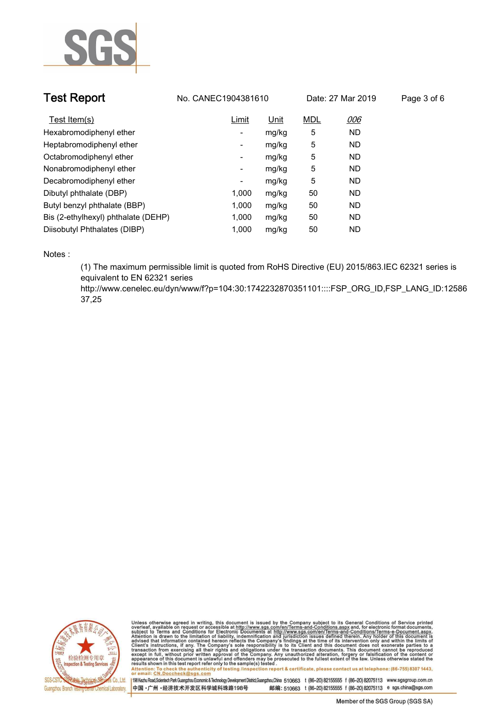

| <b>Test Report</b>                  | No. CANEC1904381610 |       | Date: 27 Mar 2019 |           | Page 3 of 6 |
|-------------------------------------|---------------------|-------|-------------------|-----------|-------------|
| Test Item(s)                        | Limit               | Unit  | <b>MDL</b>        | 006       |             |
| Hexabromodiphenyl ether             | ٠                   | mg/kg | 5                 | <b>ND</b> |             |
| Heptabromodiphenyl ether            | -                   | mg/kg | 5                 | <b>ND</b> |             |
| Octabromodiphenyl ether             | ٠                   | mg/kg | 5                 | <b>ND</b> |             |
| Nonabromodiphenyl ether             | Ξ.                  | mg/kg | 5                 | <b>ND</b> |             |
| Decabromodiphenyl ether             | ٠                   | mg/kg | 5                 | <b>ND</b> |             |
| Dibutyl phthalate (DBP)             | 1.000               | mg/kg | 50                | <b>ND</b> |             |
| Butyl benzyl phthalate (BBP)        | 1,000               | mg/kg | 50                | <b>ND</b> |             |
| Bis (2-ethylhexyl) phthalate (DEHP) | 1.000               | mg/kg | 50                | <b>ND</b> |             |
| Diisobutyl Phthalates (DIBP)        | 1.000               | mg/kg | 50                | <b>ND</b> |             |

**Notes :.**

**(1) The maximum permissible limit is quoted from RoHS Directive (EU) 2015/863.IEC 62321 series is equivalent to EN 62321 series** 

**http://www.cenelec.eu/dyn/www/f?p=104:30:1742232870351101::::FSP\_ORG\_ID,FSP\_LANG\_ID:12586 37,25.**



Unless otherwise agreed in writing, this document is issued by the Company subject to its General Conditions of Service printed<br>overleaf, available on request or accessible at http://www.sgs.com/en/Terms-and-Conditions.asp Attention: To check the authenticity of testing /inspection report & certificate, please contact us at telephone: (86-755) 8307 1443,<br>Attention: To check the authenticity of testing /inspection report & certificate, please

198 Kezhu Road,Scientech Park Guangzhou Economic & Technology Development District,Guangzhou,China 510663 t (86-20) 82155555 f (86-20) 82075113 www.sgsgroup.com.cn 中国·广州·经济技术开发区科学城科珠路198号 邮编: 510663 t (86-20) 82155555 f (86-20) 82075113 e sgs.china@sgs.com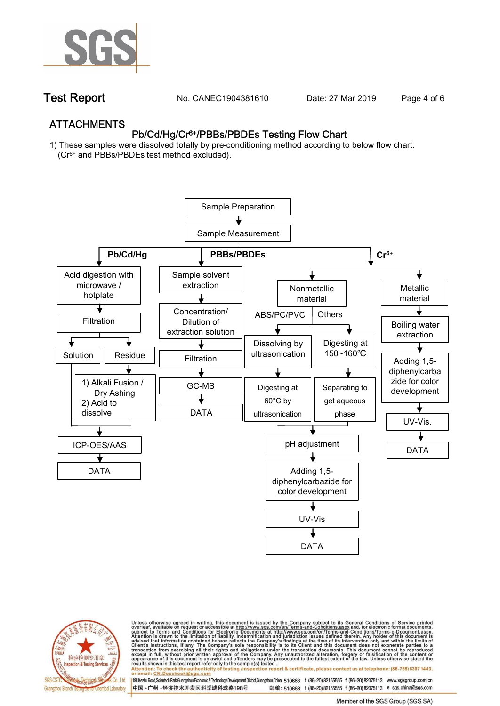

**Test Report. No. CANEC1904381610** Date: 27 Mar 2019 Page 4 of 6

## **ATTACHMENTS Pb/Cd/Hg/Cr6+/PBBs/PBDEs Testing Flow Chart**

**1) These samples were dissolved totally by pre-conditioning method according to below flow chart. (Cr6+ and PBBs/PBDEs test method excluded).**





Unless otherwise agreed in writing, this document is issued by the Company subject to its General Conditions of Service printed<br>overleaf, available on request or accessible at http://www.sgs.com/en/Terms-and-Conditions.asp résults shown in this test report refer only to the sample(s) tésted .<br>Attention: To check the authenticity of testing /inspection report & certificate, please contact us at telephone: (86-755) 8307 1443,<br>or email: <u>CN.Doc</u>

198 Kezhu Road,Scientech Park Guangzhou Economic & Technology Development District,Guangzhou,China 510663 t (86-20) 82155555 f (86-20) 82075113 www.sgsgroup.com.cn 邮编: 510663 t (86-20) 82155555 f (86-20) 82075113 e sgs.china@sgs.com 中国·广州·经济技术开发区科学城科珠路198号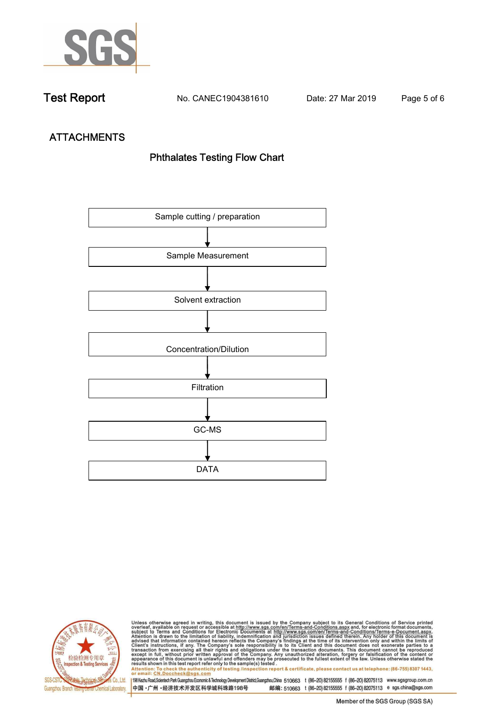

**Test Report. No. CANEC1904381610 Date: 27 Mar 2019. Page 5 of 6.**

# **ATTACHMENTS Phthalates Testing Flow Chart**





Unless otherwise agreed in writing, this document is issued by the Company subject to its General Conditions of Service printed<br>overleaf, available on request or accessible at http://www.sgs.com/en/Terms-and-Conditions.asp results shown in this test report refer only to the sample(s) tested .<br>Attention: To check the authenticity of testing /inspection report & certificate, please contact us at telephone: (86-755) 8307 1443,<br>or email: <u>CN.Doc</u>

198 Kezhu Road,Scientech Park Guangzhou Economic & Technology Development District,Guangzhou,China 510663 t (86-20) 82155555 f (86-20) 82075113 www.sgsgroup.com.cn

中国·广州·经济技术开发区科学城科珠路198号 邮编: 510663 t (86-20) 82155555 f (86-20) 82075113 e sgs.china@sgs.com